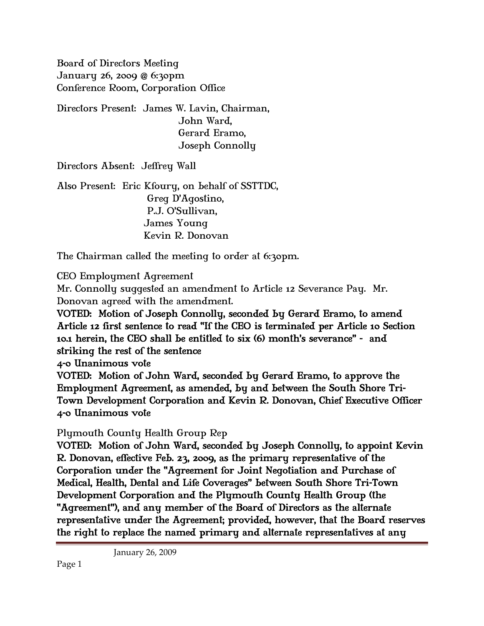Board of Directors Meeting January 26, 2009 @ 6:30pm Conference Room, Corporation Office

Directors Present: James W. Lavin, Chairman, John Ward, Gerard Eramo, Joseph Connolly

Directors Absent: Jeffrey Wall

Also Present: Eric Kfoury, on behalf of SSTTDC, Greg D'Agostino, P.J. O'Sullivan, James Young Kevin R. Donovan

The Chairman called the meeting to order at 6:30pm.

### CEO Employment Agreement

Mr. Connolly suggested an amendment to Article 12 Severance Pay. Mr. Donovan agreed with the amendment.

VOTED: Motion of Joseph Connolly, seconded by Gerard Eramo, to amend Article 12 first sentence to read "If the CEO is terminated per Article 10 Section 10.1 herein, the CEO shall be entitled to six (6) month's severance" - and striking the rest of the sentence

4-0 Unanimous vote

VOTED: Motion of John Ward, seconded by Gerard Eramo, to approve the Employment Agreement, as amended, by and between the South Shore Tri-Town Development Corporation and Kevin R. Donovan, Chief Executive Officer 4-0 Unanimous vote

### Plymouth County Health Group Rep

VOTED: Motion of John Ward, seconded by Joseph Connolly, to appoint Kevin R. Donovan, effective Feb. 23, 2009, as the primary representative of the Corporation under the "Agreement for Joint Negotiation and Purchase of Medical, Health, Dental and Life Coverages" between South Shore Tri-Town Development Corporation and the Plymouth County Health Group (the "Agreement"), and any member of the Board of Directors as the alternate representative under the Agreement; provided, however, that the Board reserves the right to replace the named primary and alternate representatives at any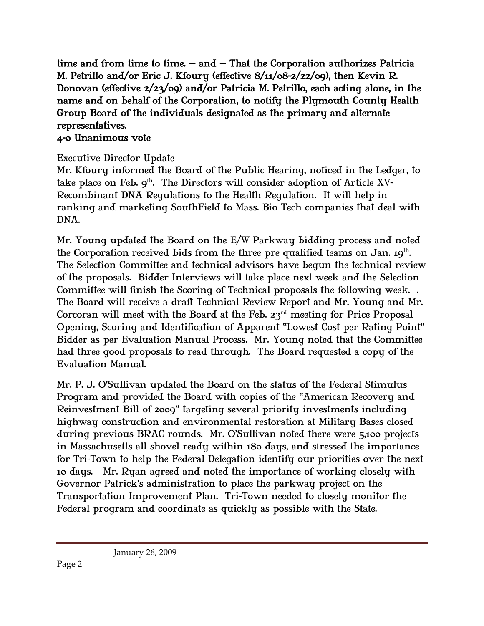time and from time to time. – and – That the Corporation authorizes Patricia M. Petrillo and/or Eric J. Kfoury (effective 8/11/08-2/22/09), then Kevin R. Donovan (effective 2/23/09) and/or Patricia M. Petrillo, each acting alone, in the name and on behalf of the Corporation, to notify the Plymouth County Health Group Board of the individuals designated as the primary and alternate representatives.

### 4-0 Unanimous vote

# Executive Director Update

Mr. Kfoury informed the Board of the Public Hearing, noticed in the Ledger, to take place on Feb.  $9<sup>th</sup>$ . The Directors will consider adoption of Article XV-Recombinant DNA Regulations to the Health Regulation. It will help in ranking and marketing SouthField to Mass. Bio Tech companies that deal with DNA.

Mr. Young updated the Board on the E/W Parkway bidding process and noted the Corporation received bids from the three pre qualified teams on Jan.  $19<sup>th</sup>$ . The Selection Committee and technical advisors have begun the technical review of the proposals. Bidder Interviews will take place next week and the Selection Committee will finish the Scoring of Technical proposals the following week. . The Board will receive a draft Technical Review Report and Mr. Young and Mr. Corcoran will meet with the Board at the Feb.  $23<sup>rd</sup>$  meeting for Price Proposal Opening, Scoring and Identification of Apparent "Lowest Cost per Rating Point" Bidder as per Evaluation Manual Process. Mr. Young noted that the Committee had three good proposals to read through. The Board requested a copy of the Evaluation Manual.

Mr. P. J. O'Sullivan updated the Board on the status of the Federal Stimulus Program and provided the Board with copies of the "American Recovery and Reinvestment Bill of 2009" targeting several priority investments including highway construction and environmental restoration at Military Bases closed during previous BRAC rounds. Mr. O'Sullivan noted there were 5,100 projects in Massachusetts all shovel ready within 180 days, and stressed the importance for Tri-Town to help the Federal Delegation identify our priorities over the next 10 days. Mr. Ryan agreed and noted the importance of working closely with Governor Patrick's administration to place the parkway project on the Transportation Improvement Plan. Tri-Town needed to closely monitor the Federal program and coordinate as quickly as possible with the State.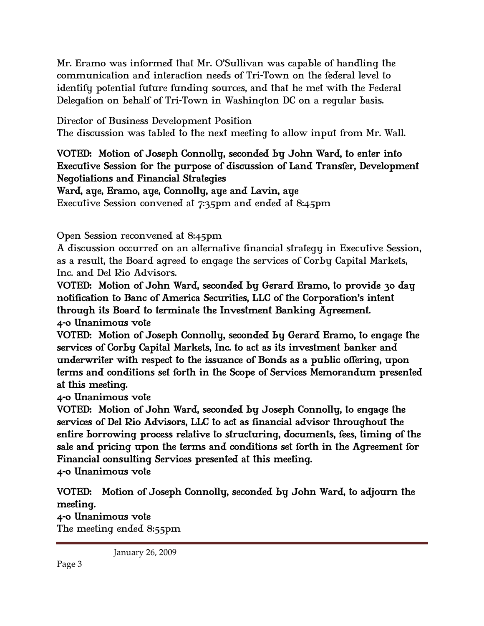Mr. Eramo was informed that Mr. O'Sullivan was capable of handling the communication and interaction needs of Tri-Town on the federal level to identify potential future funding sources, and that he met with the Federal Delegation on behalf of Tri-Town in Washington DC on a regular basis.

Director of Business Development Position

The discussion was tabled to the next meeting to allow input from Mr. Wall.

# VOTED: Motion of Joseph Connolly, seconded by John Ward, to enter into Executive Session for the purpose of discussion of Land Transfer, Development Negotiations and Financial Strategies

# Ward, aye, Eramo, aye, Connolly, aye and Lavin, aye

Executive Session convened at 7:35pm and ended at 8:45pm

Open Session reconvened at 8:45pm

A discussion occurred on an alternative financial strategy in Executive Session, as a result, the Board agreed to engage the services of Corby Capital Markets, Inc. and Del Rio Advisors.

VOTED: Motion of John Ward, seconded by Gerard Eramo, to provide 30 day notification to Banc of America Securities, LLC of the Corporation's intent through its Board to terminate the Investment Banking Agreement. 4-0 Unanimous vote

VOTED: Motion of Joseph Connolly, seconded by Gerard Eramo, to engage the services of Corby Capital Markets, Inc. to act as its investment banker and underwriter with respect to the issuance of Bonds as a public offering, upon terms and conditions set forth in the Scope of Services Memorandum presented at this meeting.

# 4-0 Unanimous vote

VOTED: Motion of John Ward, seconded by Joseph Connolly, to engage the services of Del Rio Advisors, LLC to act as financial advisor throughout the entire borrowing process relative to structuring, documents, fees, timing of the sale and pricing upon the terms and conditions set forth in the Agreement for Financial consulting Services presented at this meeting.

4-0 Unanimous vote

VOTED: Motion of Joseph Connolly, seconded by John Ward, to adjourn the meeting.

### 4-0 Unanimous vote

The meeting ended 8:55pm